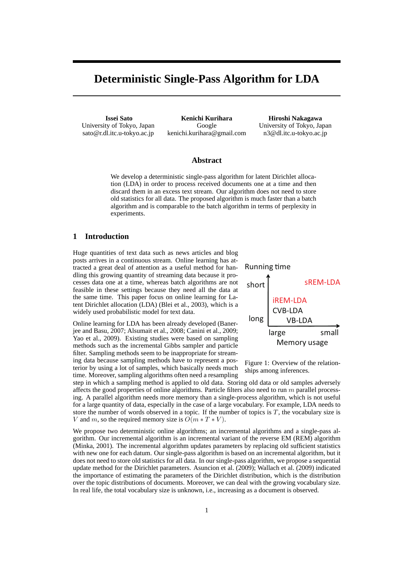# **Deterministic Single-Pass Algorithm for LDA**

**Issei Sato** University of Tokyo, Japan sato@r.dl.itc.u-tokyo.ac.jp

**Kenichi Kurihara** Google kenichi.kurihara@gmail.com

**Hiroshi Nakagawa** University of Tokyo, Japan n3@dl.itc.u-tokyo.ac.jp

## **Abstract**

We develop a deterministic single-pass algorithm for latent Dirichlet allocation (LDA) in order to process received documents one at a time and then discard them in an excess text stream. Our algorithm does not need to store old statistics for all data. The proposed algorithm is much faster than a batch algorithm and is comparable to the batch algorithm in terms of perplexity in experiments.

## **1 Introduction**

Huge quantities of text data such as news articles and blog posts arrives in a continuous stream. Online learning has attracted a great deal of attention as a useful method for handling this growing quantity of streaming data because it processes data one at a time, whereas batch algorithms are not feasible in these settings because they need all the data at the same time. This paper focus on online learning for Latent Dirichlet allocation (LDA) (Blei et al., 2003), which is a widely used probabilistic model for text data.

Online learning for LDA has been already developed (Banerjee and Basu, 2007; Alsumait et al., 2008; Canini et al., 2009; Yao et al., 2009). Existing studies were based on sampling methods such as the incremental Gibbs sampler and particle filter. Sampling methods seem to be inappropriate for streaming data because sampling methods have to represent a posterior by using a lot of samples, which basically needs much time. Moreover, sampling algorithms often need a resampling





step in which a sampling method is applied to old data. Storing old data or old samples adversely affects the good properties of online algorithms. Particle filters also need to run *m* parallel processing. A parallel algorithm needs more memory than a single-process algorithm, which is not useful for a large quantity of data, especially in the case of a large vocabulary. For example, LDA needs to store the number of words observed in a topic. If the number of topics is *T*, the vocabulary size is *V* and *m*, so the required memory size is  $O(m * T * V)$ .

We propose two deterministic online algorithms; an incremental algorithms and a single-pass algorithm. Our incremental algorithm is an incremental variant of the reverse EM (REM) algorithm (Minka, 2001). The incremental algorithm updates parameters by replacing old sufficient statistics with new one for each datum. Our single-pass algorithm is based on an incremental algorithm, but it does not need to store old statistics for all data. In our single-pass algorithm, we propose a sequential update method for the Dirichlet parameters. Asuncion et al. (2009); Wallach et al. (2009) indicated the importance of estimating the parameters of the Dirichlet distribution, which is the distribution over the topic distributions of documents. Moreover, we can deal with the growing vocabulary size. In real life, the total vocabulary size is unknown, i.e., increasing as a document is observed.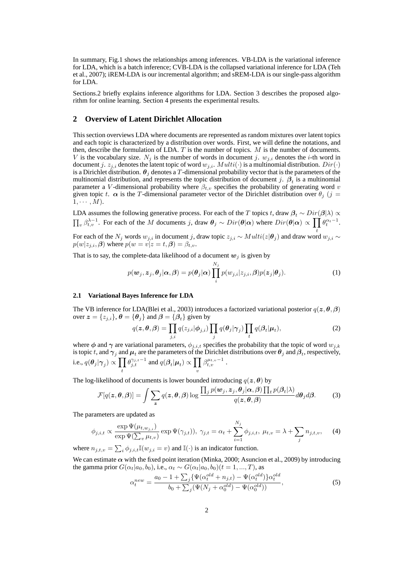In summary, Fig.1 shows the relationships among inferences. VB-LDA is the variational inference for LDA, which is a batch inference; CVB-LDA is the collapsed variational inference for LDA (Teh et al., 2007); iREM-LDA is our incremental algorithm; and sREM-LDA is our single-pass algorithm for LDA.

Sections.2 briefly explains inference algorithms for LDA. Section 3 describes the proposed algorithm for online learning. Section 4 presents the experimental results.

### **2 Overview of Latent Dirichlet Allocation**

This section overviews LDA where documents are represented as random mixtures over latent topics and each topic is characterized by a distribution over words. First, we will define the notations, and then, describe the formulation of LDA. *T* is the number of topics. *M* is the number of documents. *V* is the vocabulary size.  $N_j$  is the number of words in document *j*.  $w_{j,i}$  denotes the *i*-th word in document *j*.  $z_{j,i}$  denotes the latent topic of word  $w_{j,i}$ .  $Multi(\cdot)$  is a multinomial distribution.  $Dir(\cdot)$ is a Dirichlet distribution.  $\theta_j$  denotes a *T*-dimensional probability vector that is the parameters of the multinomial distribution, and represents the topic distribution of document *j*.  $\beta_t$  is a multinomial parameter a *V*-dimensional probability where  $\beta_{t,v}$  specifies the probability of generating word *v* given topic *t*.  $\alpha$  is the *T*-dimensional parameter vector of the Dirichlet distribution over  $\theta_i$  (*j* =  $1, \cdots, M$ ).

LDA assumes the following generative process. For each of the *T* topics *t*, draw  $\beta_t \sim Dir(\beta|\lambda) \propto$  $\prod_{v} \beta_{t,v}^{\lambda-1}$ . For each of the M documents j, draw  $\theta_j \sim Dir(\theta|\alpha)$  where  $Dir(\theta|\alpha) \propto \prod_{v} \theta_t^{\alpha_t-1}$ .

For each of the  $N_j$  words  $w_{j,i}$  in document *j*, draw topic  $z_{j,i} \sim Multi(z|\boldsymbol{\theta}_j)$  and draw word  $w_{j,i} \sim$  $p(w|z_{j,i}, \beta)$  where  $p(w = v|z = t, \beta) = \beta_{t,v}$ .

That is to say, the complete-data likelihood of a document  $w_i$  is given by

$$
p(\boldsymbol{w}_j, \boldsymbol{z}_j, \boldsymbol{\theta}_j | \boldsymbol{\alpha}, \boldsymbol{\beta}) = p(\boldsymbol{\theta}_j | \boldsymbol{\alpha}) \prod_i^{N_j} p(w_{j,i} | z_{j,i}, \boldsymbol{\beta}) p(\boldsymbol{z}_j | \boldsymbol{\theta}_j).
$$
(1)

#### **2.1 Variational Bayes Inference for LDA**

The VB inference for LDA(Blei et al., 2003) introduces a factorized variational posterior  $q(z, \theta, \beta)$ over  $\mathbf{z} = \{z_{j,i}\}, \mathbf{\theta} = \{\mathbf{\theta}_j\}$  and  $\mathbf{\beta} = \{\mathbf{\beta}_t\}$  given by

$$
q(\boldsymbol{z}, \boldsymbol{\theta}, \boldsymbol{\beta}) = \prod_{j,i} q(z_{j,i} | \boldsymbol{\phi}_{j,i}) \prod_j q(\boldsymbol{\theta}_j | \boldsymbol{\gamma}_j) \prod_t q(\boldsymbol{\beta}_t | \boldsymbol{\mu}_t),
$$
 (2)

where  $\phi$  and  $\gamma$  are variational parameters,  $\phi_{j,i,t}$  specifies the probability that the topic of word  $w_{j,k}$ is topic  $t$ , and  $\gamma_j$  and  $\mu_t$  are the parameters of the Dirichlet distributions over  $\theta_j$  and  $\beta_t$ , respectively, i.e.,  $q(\boldsymbol{\theta}_j|\boldsymbol{\gamma}_j) \propto \prod$ *t*  $\theta_{j,t}^{\gamma_{j,t}-1}$  and  $q(\theta_t|\mu_t) \propto \prod$ *v*  $\beta_{t,v}^{\mu_{t,v}-1}$ .

The log-likelihood of documents is lower bounded introducing  $q(z, \theta)$  by

$$
\mathcal{F}[q(\boldsymbol{z},\boldsymbol{\theta},\boldsymbol{\beta})] = \int \sum_{\boldsymbol{z}} q(\boldsymbol{z},\boldsymbol{\theta},\boldsymbol{\beta}) \log \frac{\prod_{j} p(\boldsymbol{w}_{j},\boldsymbol{z}_{j},\boldsymbol{\theta}_{j} | \boldsymbol{\alpha},\boldsymbol{\beta}) \prod_{t} p(\boldsymbol{\beta}_{t} | \boldsymbol{\lambda})}{q(\boldsymbol{z},\boldsymbol{\theta},\boldsymbol{\beta})} d\boldsymbol{\theta}_{j} d\boldsymbol{\beta}.
$$
 (3)

The parameters are updated as

$$
\phi_{j,i,t} \propto \frac{\exp \Psi(\mu_{t,w_{j,i}})}{\exp \Psi(\sum_v \mu_{t,v})} \exp \Psi(\gamma_{j,t})), \ \gamma_{j,t} = \alpha_t + \sum_{i=1}^{N_j} \phi_{j,i,t}, \ \mu_{t,v} = \lambda + \sum_j n_{j,t,v}, \tag{4}
$$

where  $n_{j,t,v} = \sum_i \phi_{j,i,t} \mathbb{I}(w_{j,i} = v)$  and  $\mathbb{I}(\cdot)$  is an indicator function.

We can estimate  $\alpha$  with the fixed point iteration (Minka, 2000; Asuncion et al., 2009) by introducing the gamma prior  $G(\alpha_t|a_0, b_0)$ , i.e.,  $\alpha_t \sim G(\alpha_t|a_0, b_0)$  ( $t = 1, ..., T$ ), as

$$
\alpha_t^{new} = \frac{a_0 - 1 + \sum_j \{\Psi(\alpha_t^{old} + n_{j,t}) - \Psi(\alpha_t^{old})\} \alpha_t^{old}}{b_0 + \sum_j (\Psi(N_j + \alpha_0^{old}) - \Psi(\alpha_0^{old}))},
$$
\n(5)

*N<sup>j</sup>*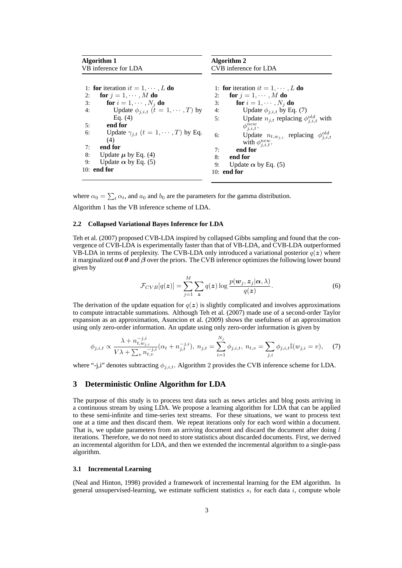| Algorithm 1<br>VB inference for LDA |                                                                                                                                                                                                                                        | Algorithm 2<br>CVB inference for LDA                                                                                                                                                                                                                                                                                                          |
|-------------------------------------|----------------------------------------------------------------------------------------------------------------------------------------------------------------------------------------------------------------------------------------|-----------------------------------------------------------------------------------------------------------------------------------------------------------------------------------------------------------------------------------------------------------------------------------------------------------------------------------------------|
| 2:<br>3:<br>4:<br>5:<br>6:          | 1: for iteration $it = 1, \dots, L$ do<br>for $j = 1, \dots, M$ do<br>for $i = 1, \cdots, N_i$ do<br>Update $\phi_{i,i,t}$ $(t = 1, \cdots, T)$ by<br>Eq. $(4)$<br>end for<br>Update $\gamma_{i,t}$ $(t = 1, \cdots, T)$ by Eq.<br>(4) | 1: for iteration $it = 1, \dots, L$ do<br>for $j = 1, \dots, M$ do<br>2:<br>for $i = 1, \cdots, N_i$ do<br>3:<br>Update $\phi_{i,i,t}$ by Eq. (7)<br>4:<br>Update $n_{i,t}$ replacing $\phi_{i,i,t}^{old}$ with<br>5:<br>$\phi_{i,i,t}^{new}$ .<br>Update $n_{t,w_{j,i}}$ replacing $\phi_{j,i,t}^{old}$<br>6:<br>with $\phi_{i,i,t}^{new}$ . |
| 7:<br>8:<br>9:                      | end for<br>Update $\mu$ by Eq. (4)<br>Update $\alpha$ by Eq. (5)<br>$10:$ end for                                                                                                                                                      | end for<br>7:<br>end for<br>8:<br>9:<br>Update $\alpha$ by Eq. (5)<br>10: end for                                                                                                                                                                                                                                                             |

where  $\alpha_0 = \sum_t \alpha_t$ , and  $a_0$  and  $b_0$  are the parameters for the gamma distribution. Algorithm 1 has the VB inference scheme of LDA.

#### **2.2 Collapsed Variational Bayes Inference for LDA**

Teh et al. (2007) proposed CVB-LDA inspired by collapsed Gibbs sampling and found that the convergence of CVB-LDA is experimentally faster than that of VB-LDA, and CVB-LDA outperformed VB-LDA in terms of perplexity. The CVB-LDA only introduced a variational posterior  $q(z)$  where it marginalized out *θ* and *β* over the priors. The CVB inference optimizes the following lower bound given by

$$
\mathcal{F}_{CVB}[q(\boldsymbol{z})] = \sum_{j=1}^{M} \sum_{\boldsymbol{z}} q(\boldsymbol{z}) \log \frac{p(\boldsymbol{w}_j, \boldsymbol{z}_j | \boldsymbol{\alpha}, \lambda)}{q(\boldsymbol{z})}.
$$
 (6)

The derivation of the update equation for  $q(z)$  is slightly complicated and involves approximations to compute intractable summations. Although Teh et al. (2007) made use of a second-order Taylor expansion as an approximation, Asuncion et al. (2009) shows the usefulness of an approximation using only zero-order information. An update using only zero-order information is given by

$$
\phi_{j,i,t} \propto \frac{\lambda + n_{t,w_{j,i}}^{-j,i}}{V\lambda + \sum_{v} n_{t,v}^{-j,i}} (\alpha_t + n_{j,t}^{-j,i}), \ n_{j,t} = \sum_{i=1}^{N_j} \phi_{j,i,t}, \ n_{t,v} = \sum_{j,i} \phi_{j,i,t} \mathbb{I}(w_{j,i} = v), \tag{7}
$$

where "-j,i" denotes subtracting *ϕj,i,t*. Algorithm 2 provides the CVB inference scheme for LDA.

#### **3 Deterministic Online Algorithm for LDA**

The purpose of this study is to process text data such as news articles and blog posts arriving in a continuous stream by using LDA. We propose a learning algorithm for LDA that can be applied to these semi-infinite and time-series text streams. For these situations, we want to process text one at a time and then discard them. We repeat iterations only for each word within a document. That is, we update parameters from an arriving document and discard the document after doing *l* iterations. Therefore, we do not need to store statistics about discarded documents. First, we derived an incremental algorithm for LDA, and then we extended the incremental algorithm to a single-pass algorithm.

#### **3.1 Incremental Learning**

(Neal and Hinton, 1998) provided a framework of incremental learning for the EM algorithm. In general unsupervised-learning, we estimate sufficient statistics *s<sup>i</sup>* for each data *i*, compute whole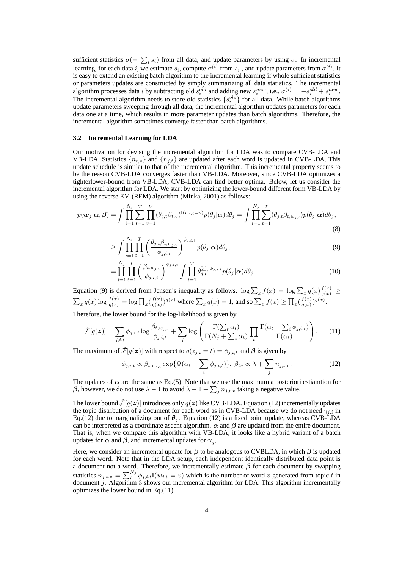sufficient statistics  $\sigma$ (=  $\sum_i s_i$ ) from all data, and update parameters by using  $\sigma$ . In incremental learning, for each data *i*, we estimate  $s_i$ , compute  $\sigma^{(i)}$  from  $s_i$  , and update parameters from  $\sigma^{(i)}$ . It is easy to extend an existing batch algorithm to the incremental learning if whole sufficient statistics or parameters updates are constructed by simply summarizing all data statistics. The incremental algorithm processes data *i* by subtracting old  $s_i^{old}$  and adding new  $s_i^{new}$ , i.e.,  $\sigma^{(i)} = -s_i^{old} + s_i^{new}$ . The incremental algorithm needs to store old statistics  $\{s_i^{old}\}$  for all data. While batch algorithms update parameters sweeping through all data, the incremental algorithm updates parameters for each data one at a time, which results in more parameter updates than batch algorithms. Therefore, the incremental algorithm sometimes converge faster than batch algorithms.

#### **3.2 Incremental Learning for LDA**

Our motivation for devising the incremental algorithm for LDA was to compare CVB-LDA and VB-LDA. Statistics  $\{n_{t,v}\}$  and  $\{n_{j,t}\}$  are updated after each word is updated in CVB-LDA. This update schedule is similar to that of the incremental algorithm. This incremental property seems to be the reason CVB-LDA converges faster than VB-LDA. Moreover, since CVB-LDA optimizes a tighterlower-bound from VB-LDA, CVB-LDA can find better optima. Below, let us consider the incremental algorithm for LDA. We start by optimizing the lower-bound different form VB-LDA by using the reverse EM (REM) algorithm (Minka, 2001) as follows:

$$
p(\boldsymbol{w}_j|\boldsymbol{\alpha},\boldsymbol{\beta}) = \int \prod_{i=1}^{N_j} \sum_{t=1}^T \prod_{v=1}^V (\theta_{j,t} \beta_{t,v})^{\mathbb{I}(w_{j,i}=v)} p(\theta_j|\boldsymbol{\alpha}) d\theta_j = \int \prod_{i=1}^{N_j} \sum_{t=1}^T (\theta_{j,t} \beta_{t,w_{j,i}}) p(\theta_j|\boldsymbol{\alpha}) d\theta_j,
$$
\n(8)

$$
\geq \int \prod_{i=1}^{N_j} \prod_{t=1}^T \left( \frac{\theta_{j,t} \beta_{t,w_{j,i}}}{\phi_{j,i,t}} \right)^{\phi_{j,i,t}} p(\theta_j | \boldsymbol{\alpha}) d\theta_j, \tag{9}
$$

$$
= \prod_{i=1}^{N_j} \prod_{t=1}^T \left( \frac{\beta_{t,w_{j,i}}}{\phi_{j,i,t}} \right)^{\phi_{j,i,t}} \int \prod_{t=1}^T \theta_{j,t}^{\sum_i \phi_{j,i,t}} p(\theta_j | \boldsymbol{\alpha}) d\theta_j.
$$
 (10)

Equation (9) is derived from Jensen's inequality as follows.  $\log \sum_x f(x) = \log \sum_x q(x) \frac{f(x)}{q(x)} \ge$  $\sum_{x} q(x) \log \frac{f(x)}{q(x)} = \log \prod_{x} \left( \frac{f(x)}{q(x)} \right)$  $\frac{f(x)}{q(x)}$  *q*<sup>(*x*)</sup>) where  $\sum_{x} q(x) = 1$ , and so  $\sum_{x} f(x) \ge \prod_{x} \left(\frac{f(x)}{q(x)}\right)$  $\frac{f(x)}{q(x)}$ <sup> $q(x)$ </sup>.

Therefore, the lower bound for the log-likelihood is given by

$$
\hat{\mathcal{F}}[q(\boldsymbol{z})] = \sum_{j,i,t} \phi_{j,i,t} \log \frac{\beta_{t,w_{j,i}}}{\phi_{j,i,t}} + \sum_j \log \left( \frac{\Gamma(\sum_t \alpha_t)}{\Gamma(N_j + \sum_t \alpha_t)} \prod_t \frac{\Gamma(\alpha_t + \sum_i \phi_{j,i,t})}{\Gamma(\alpha_t)} \right). \tag{11}
$$

The maximum of  $\hat{\mathcal{F}}[q(z)]$  with respect to  $q(z_{i,i} = t) = \phi_{j,i,t}$  and  $\beta$  is given by

$$
\phi_{j,i,t} \propto \beta_{t,w_{j,i}} \exp{\{\Psi(\alpha_t + \sum_i \phi_{j,i,t})\}}, \ \beta_{tv} \propto \lambda + \sum_j n_{j,t,v}, \tag{12}
$$

The updates of  $\alpha$  are the same as Eq.(5). Note that we use the maximum a posteriori estiamtion for *β*, however, we do not use  $\lambda - 1$  to avoid  $\lambda - 1 + \sum_j n_{j,t,v}$  taking a negative value.

The lower bound  $\mathcal{F}[q(z)]$  introduces only  $q(z)$  like CVB-LDA. Equation (12) incrementally updates the topic distribution of a document for each word as in CVB-LDA because we do not need  $\gamma_{i,i}$  in Eq.(12) due to marginalizing out of  $\theta_i$ . Equation (12) is a fixed point update, whereas CVB-LDA can be interpreted as a coordinate ascent algorithm.  $\alpha$  and  $\beta$  are updated from the entire document. That is, when we compare this algorithm with VB-LDA, it looks like a hybrid variant of a batch updates for  $\alpha$  and  $\beta$ , and incremental updates for  $\gamma_j$ ,

Here, we consider an incremental update for *β* to be analogous to CVBLDA, in which *β* is updated for each word. Note that in the LDA setup, each independent identically distributed data point is a document not a word. Therefore, we incrementally estimate *β* for each document by swapping statistics  $n_{j,t,v} = \sum_{i}^{N_j} \phi_{j,i,t} \mathbb{I}(w_{j,i} = v)$  which is the number of word *v* generated from topic *t* in document *j*. Algorithm 3 shows our incremental algorithm for LDA. This algorithm incrementally optimizes the lower bound in Eq.(11).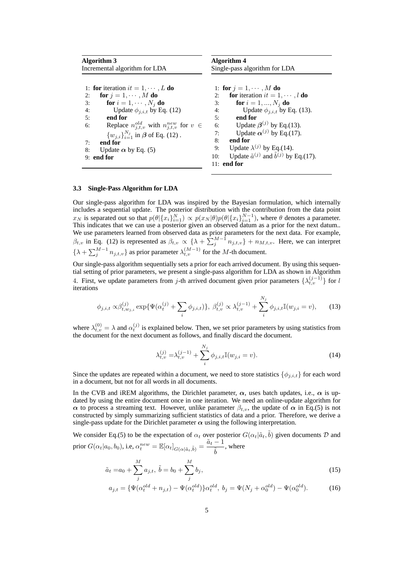| Algorithm 3                                                        | Algorithm 4                                                       |
|--------------------------------------------------------------------|-------------------------------------------------------------------|
| Incremental algorithm for LDA                                      | Single-pass algorithm for LDA                                     |
| 1: for iteration $it = 1, \dots, L$ do                             | 1: for $j = 1, \cdots, M$ do                                      |
| for $j = 1, \dots, M$ do<br>2:                                     | <b>for</b> iteration $it = 1, \dots, l$ <b>do</b><br>2:           |
| for $i = 1, \dots, N_i$ do<br>3:                                   | <b>for</b> $i = 1, , N_i$ <b>do</b><br>3:                         |
| Update $\phi_{i,i,t}$ by Eq. (12)<br>4:                            | Update $\phi_{i,i,t}$ by Eq. (13).<br>4:                          |
| end for<br>5:                                                      | end for<br>5:                                                     |
| Replace $n_{j,t,v}^{old}$ with $n_{j,t,v}^{new}$ for $v \in$<br>6: | 6: Update $\beta^{(j)}$ by Eq.(13).                               |
| ${w_{i,i}}_{i=1}^{N_j}$ in $\beta$ of Eq. (12).                    | Update $\alpha^{(j)}$ by Eq.(17).<br>7:                           |
| end for<br>7:                                                      | 8:<br>end for                                                     |
| Update $\alpha$ by Eq. (5)<br>8:                                   | Update $\lambda^{(j)}$ by Eq.(14).<br>9:                          |
| $9:$ end for                                                       | Update $\tilde{a}^{(j)}$ and $\tilde{b}^{(j)}$ by Eq.(17).<br>10: |
|                                                                    | $11:$ end for                                                     |

#### **3.3 Single-Pass Algorithm for LDA**

Our single-pass algorithm for LDA was inspired by the Bayesian formulation, which internally includes a sequential update. The posterior distribution with the contribution from the data point  $x_N$  is separated out so that  $p(\theta|\{x_i\}_{i=1}^N) \propto p(x_N|\theta)p(\theta|\{x_i\}_{i=1}^{N-1})$ , where  $\theta$  denotes a parameter. This indicates that we can use a posterior given an observed datum as a prior for the next datum.. We use parameters learned from observed data as prior parameters for the next data. For example, *β*<sub>*t,v</sub>* in Eq. (12) is represented as  $β$ <sub>*t,v*</sub>  $\propto \{λ + \sum_{j}^{M-1} n_{j,t,v}\} + n_{M,t,v}$ . Here, we can interpret</sub>  $\{\lambda + \sum_{j}^{M-1} n_{j,t,v}\}$  as prior parameter  $\lambda_{t,v}^{(M-1)}$  for the *M*-th document.

Our single-pass algorithm sequentially sets a prior for each arrived document. By using this sequential setting of prior parameters, we present a single-pass algorithm for LDA as shown in Algorithm 4. First, we update parameters from *j*-th arrived document given prior parameters  $\{\lambda_{t,v}^{(j-1)}\}$  for *l* iterations

$$
\phi_{j,i,t} \propto \beta_{t,w_{j,i}}^{(j)} \exp{\{\Psi(\alpha_t^{(j)} + \sum_i \phi_{j,i,t})\}}, \ \beta_{t,v}^{(j)} \propto \lambda_{t,v}^{(j-1)} + \sum_i^{N_j} \phi_{j,i,t} \mathbb{I}(w_{j,i} = v), \tag{13}
$$

where  $\lambda_{t,v}^{(0)} = \lambda$  and  $\alpha_t^{(j)}$  is explained below. Then, we set prior parameters by using statistics from the document for the next document as follows, and finally discard the document.

$$
\lambda_{t,v}^{(j)} = \lambda_{t,v}^{(j-1)} + \sum_{i}^{N_j} \phi_{j,i,t} \mathbb{I}(w_{j,i} = v).
$$
 (14)

Since the updates are repeated within a document, we need to store statistics  $\{\phi_{j,i,t}\}$  for each word in a document, but not for all words in all documents.

In the CVB and iREM algorithms, the Dirichlet parameter,  $\alpha$ , uses batch updates, i.e.,  $\alpha$  is updated by using the entire document once in one iteration. We need an online-update algorithm for *α* to process a streaming text. However, unlike parameter  $\beta_{t,v}$ , the update of *α* in Eq.(5) is not constructed by simply summarizing sufficient statistics of data and a prior. Therefore, we derive a single-pass update for the Dirichlet parameter  $\alpha$  using the following interpretation.

We consider Eq.(5) to be the expectation of  $\alpha_t$  over posterior  $G(\alpha_t|\tilde{a}_t,\tilde{b})$  given documents  $D$  and  $\text{prior } G(\alpha_t|a_0,b_0), \text{ i.e, } \alpha_t^{new} = \mathbb{E}[\alpha_t]_{G(\alpha|\tilde{a}_t,\tilde{b})} = \frac{\tilde{a}_t-1}{\tilde{b}_t}$  $\frac{1}{b}$ , where

$$
\tilde{a}_t = a_0 + \sum_{j}^{M} a_{j,t}, \ \tilde{b} = b_0 + \sum_{j}^{M} b_j,
$$
\n(15)

$$
a_{j,t} = \{\Psi(\alpha_t^{old} + n_{j,t}) - \Psi(\alpha_t^{old})\} \alpha_t^{old}, \ b_j = \Psi(N_j + \alpha_0^{old}) - \Psi(\alpha_0^{old}).
$$
 (16)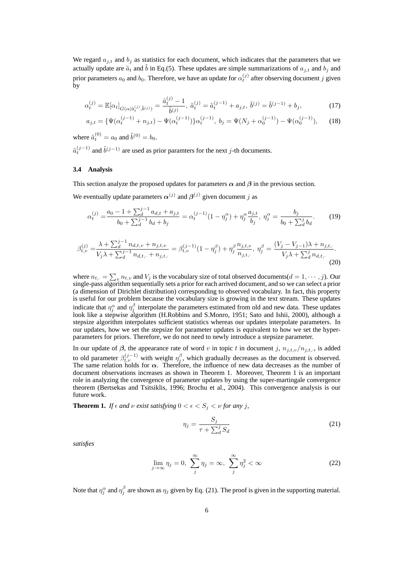We regard  $a_{i,t}$  and  $b_i$  as statistics for each document, which indicates that the parameters that we actually update are  $\tilde{a}_t$  and  $\tilde{b}$  in Eq.(5). These updates are simple summarizations of  $a_{j,t}$  and  $b_j$  and prior parameters  $a_0$  and  $b_0$ . Therefore, we have an update for  $\alpha_t^{(j)}$  after observing document *j* given by

$$
\alpha_t^{(j)} = \mathbb{E}[\alpha_t]_{G(\alpha|\tilde{a}_t^{(j)}, \tilde{b}^{(j)})} = \frac{\tilde{a}_t^{(j)} - 1}{\tilde{b}^{(j)}}, \ \tilde{a}_t^{(j)} = \tilde{a}_t^{(j-1)} + a_{j,t}, \ \tilde{b}^{(j)} = \tilde{b}^{(j-1)} + b_j,\tag{17}
$$

$$
a_{j,t} = \{\Psi(\alpha_t^{(j-1)} + n_{j,t}) - \Psi(\alpha_t^{(j-1)})\}\alpha_t^{(j-1)}, \ b_j = \Psi(N_j + \alpha_0^{(j-1)}) - \Psi(\alpha_0^{(j-1)}), \tag{18}
$$

where  $\tilde{a}_t^{(0)} = a_0$  and  $\tilde{b}^{(0)} = b_0$ .  $\tilde{a}_t^{(j-1)}$  and  $\tilde{b}^{(j-1)}$  are used as prior paramters for the next *j*-th documents.

#### **3.4 Analysis**

This section analyze the proposed updates for parameters  $\alpha$  and  $\beta$  in the previous section.

We eventually update parameters  $\alpha^{(j)}$  and  $\beta^{(j)}$  given document *j* as

$$
\alpha_t^{(j)} = \frac{a_0 - 1 + \sum_d^{j-1} a_{d,t} + a_{j,t}}{b_0 + \sum_d^{j-1} b_d + b_j} = \alpha_t^{(j-1)} (1 - \eta_j^{\alpha}) + \eta_j^{\alpha} \frac{a_{j,t}}{b_j}, \ \eta_j^{\alpha} = \frac{b_j}{b_0 + \sum_d^{j} b_d}.
$$
 (19)

$$
\beta_{t,v}^{(j)} = \frac{\lambda + \sum_{d}^{j-1} n_{d,t,v} + n_{j,t,v}}{V_j \lambda + \sum_{d}^{j-1} n_{d,t,v} + n_{j,t,v}} = \beta_{t,v}^{(j-1)} (1 - \eta_j^{\beta}) + \eta_j^{\beta} \frac{n_{j,t,v}}{n_{j,t,v}}, \ \eta_j^{\beta} = \frac{(V_j - V_{j-1})\lambda + n_{j,t,v}}{V_j \lambda + \sum_{d}^{j} n_{d,t,v}}.
$$
\n(20)

where  $n_{t_i} = \sum_{v} n_{t,v}$  and  $V_j$  is the vocabulary size of total observed documents( $d = 1, \dots, j$ ). Our single-pass algorithm sequentially sets a prior for each arrived document, and so we can select a prior (a dimension of Dirichlet distribution) corresponding to observed vocabulary. In fact, this property is useful for our problem because the vocabulary size is growing in the text stream. These updates indicate that  $\eta_j^{\alpha}$  and  $\eta_j^{\beta}$  interpolate the parameters estimated from old and new data. These updates look like a stepwise algorithm (H.Robbins and S.Monro, 1951; Sato and Ishii, 2000), although a stepsize algorithm interpolates sufficient statistics whereas our updates interpolate parameters. In our updates, how we set the stepsize for parameter updates is equivalent to how we set the hyperparameters for priors. Therefore, we do not need to newly introduce a stepsize parameter.

In our update of  $\beta$ , the appearance rate of word *v* in topic *t* in document *j*,  $n_{j,t,v}/n_{j,t,\cdot}$ , is added to old parameter  $\beta_{t,v}^{(j-1)}$  with weight  $\eta_j^{\beta}$ , which gradually decreases as the document is observed. The same relation holds for  $\alpha$ . Therefore, the influence of new data decreases as the number of document observations increases as shown in Theorem 1. Moreover, Theorem 1 is an important role in analyzing the convergence of parameter updates by using the super-martingale convergence theorem (Bertsekas and Tsitsiklis, 1996; Brochu et al., 2004). This convergence analysis is our future work.

**Theorem 1.** *If*  $\epsilon$  *and*  $\nu$  *exist satisfying*  $0 < \epsilon < S_j < \nu$  *for any j*,

$$
\eta_j = \frac{S_j}{\tau + \sum_d^j S_d} \tag{21}
$$

*satisfies*

$$
\lim_{j \to \infty} \eta_j = 0, \ \sum_j^{\infty} \eta_j = \infty, \ \sum_j^{\infty} \eta_j^2 < \infty \tag{22}
$$

Note that  $\eta_j^{\alpha}$  and  $\eta_j^{\beta}$  are shown as  $\eta_j$  given by Eq. (21). The proof is given in the supporting material.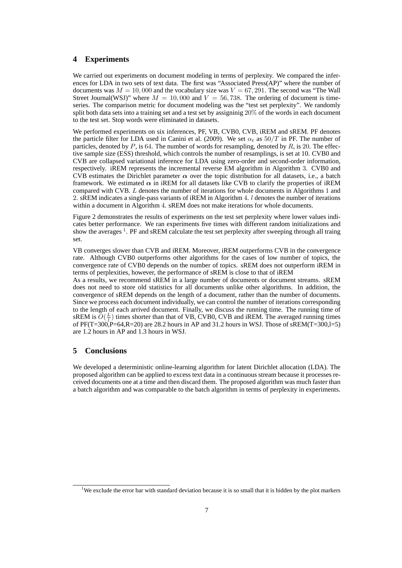# **4 Experiments**

We carried out experiments on document modeling in terms of perplexity. We compared the inferences for LDA in two sets of text data. The first was "Associated Press(AP)" where the number of documents was  $M = 10,000$  and the vocabulary size was  $V = 67,291$ . The second was "The Wall Street Journal(WSJ)" where  $M = 10,000$  and  $V = 56,738$ . The ordering of document is timeseries. The comparison metric for document modeling was the "test set perplexity". We randomly split both data sets into a training set and a test set by assigninig 20% of the words in each document to the test set. Stop words were eliminated in datasets.

We performed experiments on six inferences, PF, VB, CVB0, CVB, iREM and sREM. PF denotes the particle filter for LDA used in Canini et al. (2009). We set  $\alpha_t$  as  $50/T$  in PF. The number of particles, denoted by *P*, is 64. The number of words for resampling, denoted by *R*, is 20. The effective sample size (ESS) threshold, which controls the number of resamplings, is set at 10. CVB0 and CVB are collapsed variational inference for LDA using zero-order and second-order information, respectively. iREM represents the incremental reverse EM algorithm in Algorithm 3. CVB0 and CVB estimates the Dirichlet parameter  $\alpha$  over the topic distribution for all datasets, i.e., a batch framework. We estimated  $\alpha$  in iREM for all datasets like CVB to clarify the properties of iREM compared with CVB. *L* denotes the number of iterations for whole documents in Algorithms 1 and 2. sREM indicates a single-pass variants of iREM in Algorithm 4. *l* denotes the number of iterations within a document in Algorithm 4. sREM does not make iterations for whole documents.

Figure 2 demonstrates the results of experiments on the test set perplexity where lower values indicates better performance. We ran experiments five times with different random initializations and show the averages<sup>1</sup>. PF and sREM calculate the test set perplexity after sweeping through all traing set.

VB converges slower than CVB and iREM. Moreover, iREM outperforms CVB in the convergence rate. Although CVB0 outperforms other algorithms for the cases of low number of topics, the convergence rate of CVB0 depends on the number of topics. sREM does not outperform iREM in terms of perplexities, however, the performance of sREM is close to that of iREM

As a results, we recommend sREM in a large number of documents or document streams. sREM does not need to store old statistics for all documents unlike other algorithms. In addition, the convergence of sREM depends on the length of a document, rather than the number of documents. Since we process each document individually, we can control the number of iterations corresponding to the length of each arrived document. Finally, we discuss the running time. The running time of  $sREM$  is  $O(\frac{L}{l})$  times shorter than that of VB, CVB0, CVB and iREM. The averaged running times of  $PF(T=300,P=64,R=20)$  are 28.2 hours in AP and 31.2 hours in WSJ. Those of  $sREM(T=300,I=5)$ are 1.2 hours in AP and 1.3 hours in WSJ.

# **5 Conclusions**

We developed a deterministic online-learning algorithm for latent Dirichlet allocation (LDA). The proposed algorithm can be applied to excess text data in a continuous stream because it processes received documents one at a time and then discard them. The proposed algorithm was much faster than a batch algorithm and was comparable to the batch algorithm in terms of perplexity in experiments.

<sup>&</sup>lt;sup>1</sup>We exclude the error bar with standard deviation because it is so small that it is hidden by the plot markers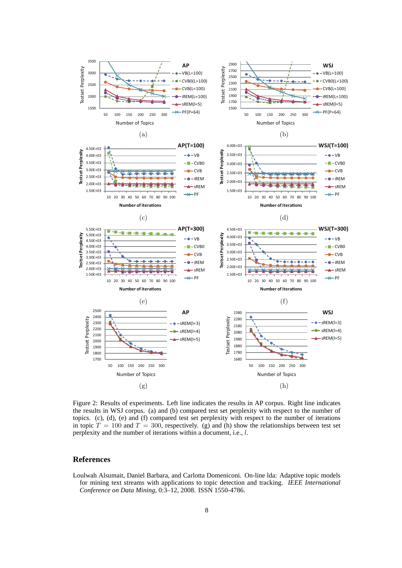

Figure 2: Results of experiments. Left line indicates the results in AP corpus. Right line indicates the results in WSJ corpus. (a) and (b) compared test set perplexity with respect to the number of topics. (c), (d), (e) and (f) compared test set perplexity with respect to the number of iterations in topic  $T = 100$  and  $T = 300$ , respectively. (g) and (h) show the relationships between test set perplexity and the number of iterations within a document, i.e., *l*.

# **References**

Loulwah Alsumait, Daniel Barbara, and Carlotta Domeniconi. On-line lda: Adaptive topic models for mining text streams with applications to topic detection and tracking. *IEEE International Conference on Data Mining*, 0:3–12, 2008. ISSN 1550-4786.